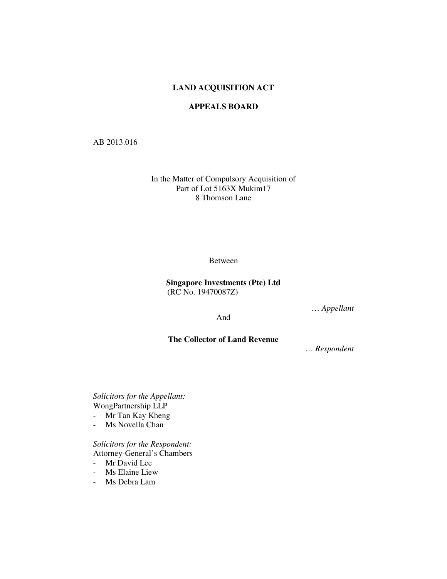# **LAND ACQUISITION ACT**

# **APPEALS BOARD**

## AB 2013.016

In the Matter of Compulsory Acquisition of Part of Lot 5163X Mukim17 8 Thomson Lane

Between

# **Singapore Investments (Pte) Ltd** (RC No. 19470087Z)

… *Appellant*

And

# **The Collector of Land Revenue**

… *Respondent* 

*Solicitors for the Appellant:*  WongPartnership LLP

- Mr Tan Kay Kheng
- Ms Novella Chan

*Solicitors for the Respondent:*  Attorney-General's Chambers

- Mr David Lee
- Ms Elaine Liew
- Ms Debra Lam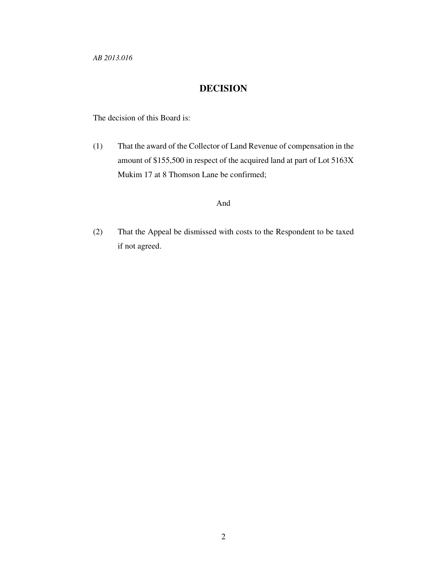*AB 2013.016* 

# **DECISION**

The decision of this Board is:

(1) That the award of the Collector of Land Revenue of compensation in the amount of \$155,500 in respect of the acquired land at part of Lot 5163X Mukim 17 at 8 Thomson Lane be confirmed;

# And

(2) That the Appeal be dismissed with costs to the Respondent to be taxed if not agreed.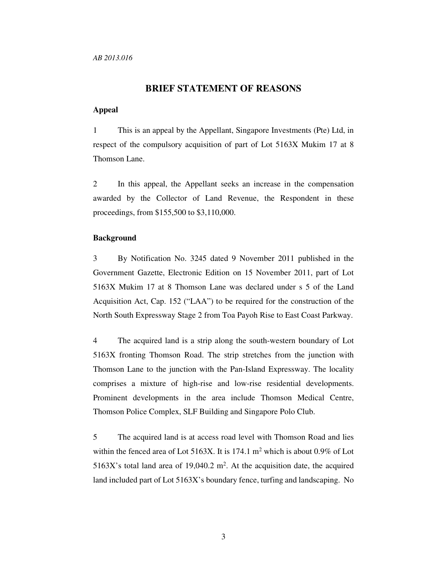### **BRIEF STATEMENT OF REASONS**

### **Appeal**

1 This is an appeal by the Appellant, Singapore Investments (Pte) Ltd, in respect of the compulsory acquisition of part of Lot 5163X Mukim 17 at 8 Thomson Lane.

2 In this appeal, the Appellant seeks an increase in the compensation awarded by the Collector of Land Revenue, the Respondent in these proceedings, from \$155,500 to \$3,110,000.

### **Background**

3 By Notification No. 3245 dated 9 November 2011 published in the Government Gazette, Electronic Edition on 15 November 2011, part of Lot 5163X Mukim 17 at 8 Thomson Lane was declared under s 5 of the Land Acquisition Act, Cap. 152 ("LAA") to be required for the construction of the North South Expressway Stage 2 from Toa Payoh Rise to East Coast Parkway.

4 The acquired land is a strip along the south-western boundary of Lot 5163X fronting Thomson Road. The strip stretches from the junction with Thomson Lane to the junction with the Pan-Island Expressway. The locality comprises a mixture of high-rise and low-rise residential developments. Prominent developments in the area include Thomson Medical Centre, Thomson Police Complex, SLF Building and Singapore Polo Club.

5 The acquired land is at access road level with Thomson Road and lies within the fenced area of Lot  $5163X$ . It is 174.1 m<sup>2</sup> which is about 0.9% of Lot 5163X's total land area of 19,040.2  $m^2$ . At the acquisition date, the acquired land included part of Lot 5163X's boundary fence, turfing and landscaping. No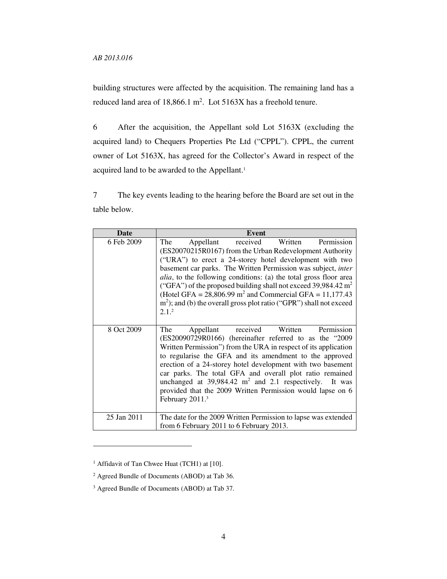building structures were affected by the acquisition. The remaining land has a reduced land area of  $18,866.1 \text{ m}^2$ . Lot  $5163X$  has a freehold tenure.

6 After the acquisition, the Appellant sold Lot 5163X (excluding the acquired land) to Chequers Properties Pte Ltd ("CPPL"). CPPL, the current owner of Lot 5163X, has agreed for the Collector's Award in respect of the acquired land to be awarded to the Appellant.<sup>1</sup>

7 The key events leading to the hearing before the Board are set out in the table below.

| <b>Date</b> | Event                                                                                                                                                                                                                                                                                                                                                                                                                                                                                                                                                      |
|-------------|------------------------------------------------------------------------------------------------------------------------------------------------------------------------------------------------------------------------------------------------------------------------------------------------------------------------------------------------------------------------------------------------------------------------------------------------------------------------------------------------------------------------------------------------------------|
| 6 Feb 2009  | Permission<br>Appellant<br>received<br>Written<br>The<br>(ES20070215R0167) from the Urban Redevelopment Authority<br>("URA") to erect a 24-storey hotel development with two<br>basement car parks. The Written Permission was subject, inter<br><i>alia</i> , to the following conditions: (a) the total gross floor area<br>("GFA") of the proposed building shall not exceed 39,984.42 $m2$<br>(Hotel GFA = $28,806.99$ m <sup>2</sup> and Commercial GFA = 11,177.43<br>$m2$ ); and (b) the overall gross plot ratio ("GPR") shall not exceed<br>2.1.2 |
| 8 Oct 2009  | received<br>Permission<br>Written<br>Appellant<br>The<br>(ES20090729R0166) (hereinafter referred to as the "2009<br>Written Permission") from the URA in respect of its application<br>to regularise the GFA and its amendment to the approved<br>erection of a 24-storey hotel development with two basement<br>car parks. The total GFA and overall plot ratio remained<br>unchanged at $39,984.42 \text{ m}^2$ and 2.1 respectively. It was<br>provided that the 2009 Written Permission would lapse on 6<br>February 2011. <sup>3</sup>                |
| 25 Jan 2011 | The date for the 2009 Written Permission to lapse was extended<br>from 6 February 2011 to 6 February 2013.                                                                                                                                                                                                                                                                                                                                                                                                                                                 |

<sup>&</sup>lt;sup>1</sup> Affidavit of Tan Chwee Huat (TCH1) at [10].

<sup>2</sup> Agreed Bundle of Documents (ABOD) at Tab 36.

<sup>3</sup> Agreed Bundle of Documents (ABOD) at Tab 37.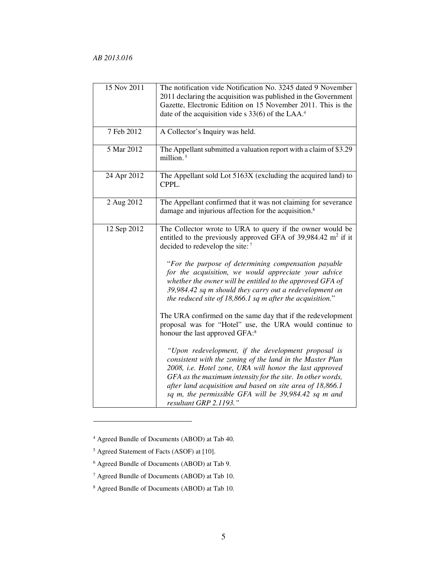| 15 Nov 2011 | The notification vide Notification No. 3245 dated 9 November                                                                                                                                                                                                                                                                                                                             |
|-------------|------------------------------------------------------------------------------------------------------------------------------------------------------------------------------------------------------------------------------------------------------------------------------------------------------------------------------------------------------------------------------------------|
|             | 2011 declaring the acquisition was published in the Government                                                                                                                                                                                                                                                                                                                           |
|             | Gazette, Electronic Edition on 15 November 2011. This is the                                                                                                                                                                                                                                                                                                                             |
|             | date of the acquisition vide $s$ 33(6) of the LAA. <sup>4</sup>                                                                                                                                                                                                                                                                                                                          |
|             |                                                                                                                                                                                                                                                                                                                                                                                          |
| 7 Feb 2012  | A Collector's Inquiry was held.                                                                                                                                                                                                                                                                                                                                                          |
| 5 Mar 2012  | The Appellant submitted a valuation report with a claim of \$3.29<br>million. <sup>5</sup>                                                                                                                                                                                                                                                                                               |
| 24 Apr 2012 | The Appellant sold Lot 5163X (excluding the acquired land) to<br>CPPL.                                                                                                                                                                                                                                                                                                                   |
| 2 Aug 2012  | The Appellant confirmed that it was not claiming for severance<br>damage and injurious affection for the acquisition. <sup>6</sup>                                                                                                                                                                                                                                                       |
| 12 Sep 2012 | The Collector wrote to URA to query if the owner would be<br>entitled to the previously approved GFA of $39,984.42 \text{ m}^2$ if it<br>decided to redevelop the site: <sup>7</sup>                                                                                                                                                                                                     |
|             | "For the purpose of determining compensation payable<br>for the acquisition, we would appreciate your advice<br>whether the owner will be entitled to the approved GFA of<br>39,984.42 sq m should they carry out a redevelopment on<br>the reduced site of 18,866.1 sq m after the acquisition."                                                                                        |
|             | The URA confirmed on the same day that if the redevelopment<br>proposal was for "Hotel" use, the URA would continue to<br>honour the last approved GFA: <sup>8</sup>                                                                                                                                                                                                                     |
|             | "Upon redevelopment, if the development proposal is<br>consistent with the zoning of the land in the Master Plan<br>2008, i.e. Hotel zone, URA will honor the last approved<br>GFA as the maximum intensity for the site. In other words,<br>after land acquisition and based on site area of 18,866.1<br>sq m, the permissible GFA will be 39,984.42 sq m and<br>resultant GRP 2.1193." |

<sup>4</sup> Agreed Bundle of Documents (ABOD) at Tab 40.

<sup>5</sup> Agreed Statement of Facts (ASOF) at [10].

<sup>6</sup> Agreed Bundle of Documents (ABOD) at Tab 9.

<sup>7</sup> Agreed Bundle of Documents (ABOD) at Tab 10.

<sup>8</sup> Agreed Bundle of Documents (ABOD) at Tab 10.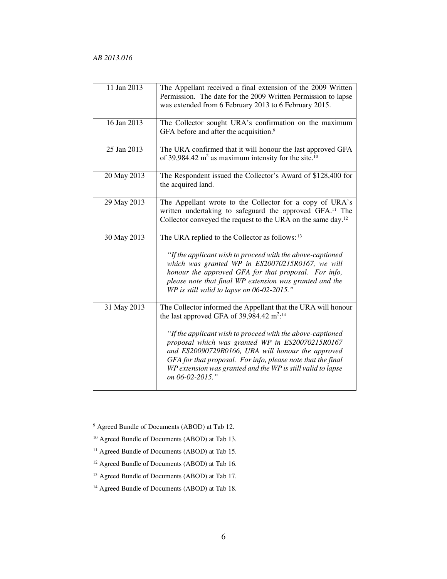| 11 Jan 2013 | The Appellant received a final extension of the 2009 Written<br>Permission. The date for the 2009 Written Permission to lapse<br>was extended from 6 February 2013 to 6 February 2015.                                                                                                                                                                                                                                                            |
|-------------|---------------------------------------------------------------------------------------------------------------------------------------------------------------------------------------------------------------------------------------------------------------------------------------------------------------------------------------------------------------------------------------------------------------------------------------------------|
| 16 Jan 2013 | The Collector sought URA's confirmation on the maximum<br>GFA before and after the acquisition. <sup>9</sup>                                                                                                                                                                                                                                                                                                                                      |
| 25 Jan 2013 | The URA confirmed that it will honour the last approved GFA<br>of 39,984.42 $m^2$ as maximum intensity for the site. <sup>10</sup>                                                                                                                                                                                                                                                                                                                |
| 20 May 2013 | The Respondent issued the Collector's Award of \$128,400 for<br>the acquired land.                                                                                                                                                                                                                                                                                                                                                                |
| 29 May 2013 | The Appellant wrote to the Collector for a copy of URA's<br>written undertaking to safeguard the approved GFA. <sup>11</sup> The<br>Collector conveyed the request to the URA on the same day. <sup>12</sup>                                                                                                                                                                                                                                      |
| 30 May 2013 | The URA replied to the Collector as follows: 13<br>"If the applicant wish to proceed with the above-captioned<br>which was granted WP in ES20070215R0167, we will<br>honour the approved GFA for that proposal. For info,<br>please note that final WP extension was granted and the<br>WP is still valid to lapse on 06-02-2015."                                                                                                                |
| 31 May 2013 | The Collector informed the Appellant that the URA will honour<br>the last approved GFA of 39,984.42 $m^2$ : <sup>14</sup><br>"If the applicant wish to proceed with the above-captioned<br>proposal which was granted WP in ES20070215R0167<br>and ES20090729R0166, URA will honour the approved<br>GFA for that proposal. For info, please note that the final<br>WP extension was granted and the WP is still valid to lapse<br>on 06-02-2015." |

9 Agreed Bundle of Documents (ABOD) at Tab 12.

<sup>10</sup> Agreed Bundle of Documents (ABOD) at Tab 13.

<sup>&</sup>lt;sup>11</sup> Agreed Bundle of Documents (ABOD) at Tab 15.

<sup>12</sup> Agreed Bundle of Documents (ABOD) at Tab 16.

<sup>13</sup> Agreed Bundle of Documents (ABOD) at Tab 17.

<sup>14</sup> Agreed Bundle of Documents (ABOD) at Tab 18.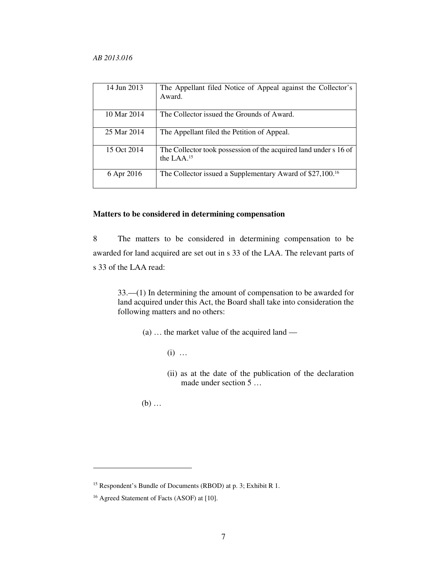| 14 Jun 2013 | The Appellant filed Notice of Appeal against the Collector's<br>Award.                     |
|-------------|--------------------------------------------------------------------------------------------|
| 10 Mar 2014 | The Collector issued the Grounds of Award.                                                 |
| 25 Mar 2014 | The Appellant filed the Petition of Appeal.                                                |
| 15 Oct 2014 | The Collector took possession of the acquired land under s 16 of<br>the LAA. <sup>15</sup> |
| 6 Apr 2016  | The Collector issued a Supplementary Award of \$27,100. <sup>16</sup>                      |

# **Matters to be considered in determining compensation**

8 The matters to be considered in determining compensation to be awarded for land acquired are set out in s 33 of the LAA. The relevant parts of s 33 of the LAA read:

33.—(1) In determining the amount of compensation to be awarded for land acquired under this Act, the Board shall take into consideration the following matters and no others:

(a) … the market value of the acquired land —

(i) …

(ii) as at the date of the publication of the declaration made under section 5 …

(b) …

<sup>15</sup> Respondent's Bundle of Documents (RBOD) at p. 3; Exhibit R 1.

<sup>16</sup> Agreed Statement of Facts (ASOF) at [10].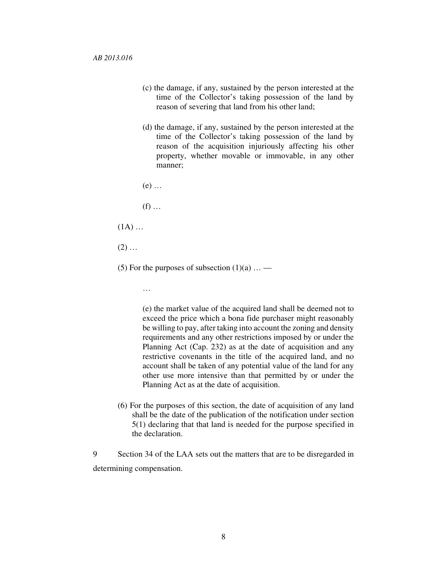- (c) the damage, if any, sustained by the person interested at the time of the Collector's taking possession of the land by reason of severing that land from his other land;
- (d) the damage, if any, sustained by the person interested at the time of the Collector's taking possession of the land by reason of the acquisition injuriously affecting his other property, whether movable or immovable, in any other manner;

(e) …

 $(f)$  ...

 $(1A)$  ...

 $(2)$  ...

- (5) For the purposes of subsection  $(1)(a)$  ...
	- …

(e) the market value of the acquired land shall be deemed not to exceed the price which a bona fide purchaser might reasonably be willing to pay, after taking into account the zoning and density requirements and any other restrictions imposed by or under the Planning Act (Cap. 232) as at the date of acquisition and any restrictive covenants in the title of the acquired land, and no account shall be taken of any potential value of the land for any other use more intensive than that permitted by or under the Planning Act as at the date of acquisition.

(6) For the purposes of this section, the date of acquisition of any land shall be the date of the publication of the notification under section 5(1) declaring that that land is needed for the purpose specified in the declaration.

9 Section 34 of the LAA sets out the matters that are to be disregarded in determining compensation.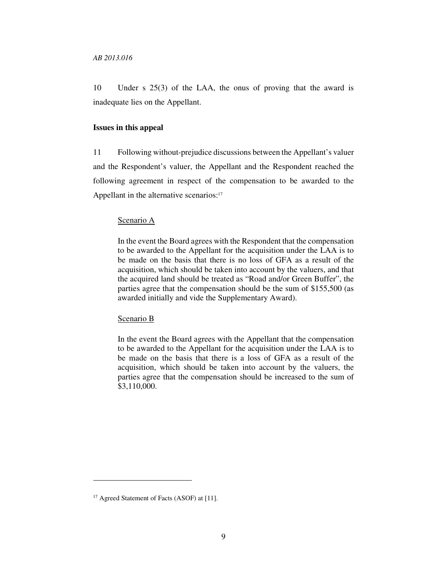10 Under s 25(3) of the LAA, the onus of proving that the award is inadequate lies on the Appellant.

#### **Issues in this appeal**

11 Following without-prejudice discussions between the Appellant's valuer and the Respondent's valuer, the Appellant and the Respondent reached the following agreement in respect of the compensation to be awarded to the Appellant in the alternative scenarios:<sup>17</sup>

### Scenario A

In the event the Board agrees with the Respondent that the compensation to be awarded to the Appellant for the acquisition under the LAA is to be made on the basis that there is no loss of GFA as a result of the acquisition, which should be taken into account by the valuers, and that the acquired land should be treated as "Road and/or Green Buffer", the parties agree that the compensation should be the sum of \$155,500 (as awarded initially and vide the Supplementary Award).

#### Scenario B

In the event the Board agrees with the Appellant that the compensation to be awarded to the Appellant for the acquisition under the LAA is to be made on the basis that there is a loss of GFA as a result of the acquisition, which should be taken into account by the valuers, the parties agree that the compensation should be increased to the sum of \$3,110,000.

<sup>&</sup>lt;sup>17</sup> Agreed Statement of Facts (ASOF) at [11].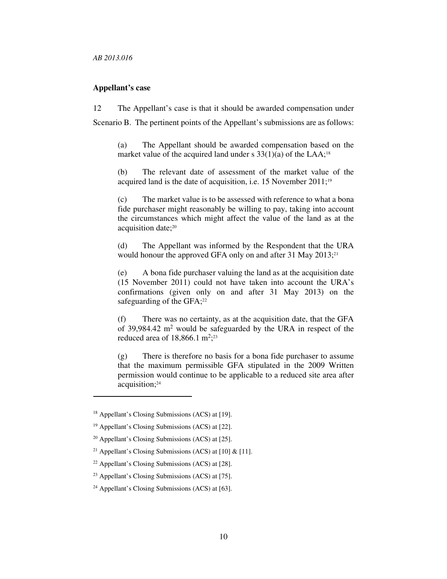### **Appellant's case**

12 The Appellant's case is that it should be awarded compensation under Scenario B. The pertinent points of the Appellant's submissions are as follows:

(a) The Appellant should be awarded compensation based on the market value of the acquired land under s  $33(1)(a)$  of the LAA;<sup>18</sup>

(b) The relevant date of assessment of the market value of the acquired land is the date of acquisition, i.e. 15 November 2011;<sup>19</sup>

(c) The market value is to be assessed with reference to what a bona fide purchaser might reasonably be willing to pay, taking into account the circumstances which might affect the value of the land as at the acquisition date;<sup>20</sup>

(d) The Appellant was informed by the Respondent that the URA would honour the approved GFA only on and after 31 May 2013;<sup>21</sup>

(e) A bona fide purchaser valuing the land as at the acquisition date (15 November 2011) could not have taken into account the URA's confirmations (given only on and after 31 May 2013) on the safeguarding of the  $GFA;^{22}$ 

(f) There was no certainty, as at the acquisition date, that the GFA of 39,984.42 m<sup>2</sup> would be safeguarded by the URA in respect of the reduced area of  $18,866.1 \text{ m}^2$ ;<sup>23</sup>

(g) There is therefore no basis for a bona fide purchaser to assume that the maximum permissible GFA stipulated in the 2009 Written permission would continue to be applicable to a reduced site area after acquisition;<sup>24</sup>

<sup>18</sup> Appellant's Closing Submissions (ACS) at [19].

<sup>19</sup> Appellant's Closing Submissions (ACS) at [22].

 $20$  Appellant's Closing Submissions (ACS) at [25].

<sup>&</sup>lt;sup>21</sup> Appellant's Closing Submissions (ACS) at [10]  $\&$  [11].

 $22$  Appellant's Closing Submissions (ACS) at [28].

<sup>23</sup> Appellant's Closing Submissions (ACS) at [75].

<sup>24</sup> Appellant's Closing Submissions (ACS) at [63].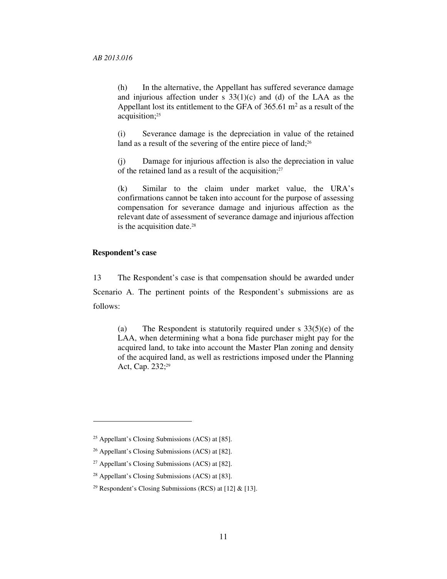(h) In the alternative, the Appellant has suffered severance damage and injurious affection under s  $33(1)(c)$  and (d) of the LAA as the Appellant lost its entitlement to the GFA of  $365.61 \text{ m}^2$  as a result of the acquisition;<sup>25</sup>

(i) Severance damage is the depreciation in value of the retained land as a result of the severing of the entire piece of land;<sup>26</sup>

(j) Damage for injurious affection is also the depreciation in value of the retained land as a result of the acquisition; 27

(k) Similar to the claim under market value, the URA's confirmations cannot be taken into account for the purpose of assessing compensation for severance damage and injurious affection as the relevant date of assessment of severance damage and injurious affection is the acquisition date.<sup>28</sup>

### **Respondent's case**

 $\ddot{\phantom{a}}$ 

13 The Respondent's case is that compensation should be awarded under Scenario A. The pertinent points of the Respondent's submissions are as follows:

(a) The Respondent is statutorily required under s  $33(5)(e)$  of the LAA, when determining what a bona fide purchaser might pay for the acquired land, to take into account the Master Plan zoning and density of the acquired land, as well as restrictions imposed under the Planning Act, Cap. 232;<sup>29</sup>

 $25$  Appellant's Closing Submissions (ACS) at [85].

<sup>26</sup> Appellant's Closing Submissions (ACS) at [82].

<sup>27</sup> Appellant's Closing Submissions (ACS) at [82].

<sup>28</sup> Appellant's Closing Submissions (ACS) at [83].

<sup>&</sup>lt;sup>29</sup> Respondent's Closing Submissions (RCS) at [12]  $\&$  [13].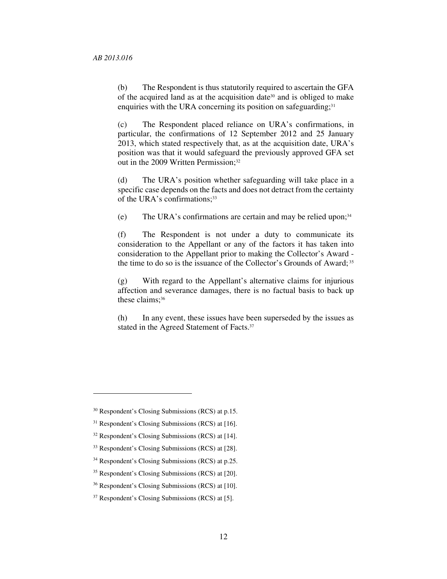(b) The Respondent is thus statutorily required to ascertain the GFA of the acquired land as at the acquisition date30 and is obliged to make enquiries with the URA concerning its position on safeguarding; $31$ 

(c) The Respondent placed reliance on URA's confirmations, in particular, the confirmations of 12 September 2012 and 25 January 2013, which stated respectively that, as at the acquisition date, URA's position was that it would safeguard the previously approved GFA set out in the 2009 Written Permission;<sup>32</sup>

(d) The URA's position whether safeguarding will take place in a specific case depends on the facts and does not detract from the certainty of the URA's confirmations:<sup>33</sup>

(e) The URA's confirmations are certain and may be relied upon; $34$ 

(f) The Respondent is not under a duty to communicate its consideration to the Appellant or any of the factors it has taken into consideration to the Appellant prior to making the Collector's Award the time to do so is the issuance of the Collector's Grounds of Award;<sup>35</sup>

(g) With regard to the Appellant's alternative claims for injurious affection and severance damages, there is no factual basis to back up these claims:<sup>36</sup>

(h) In any event, these issues have been superseded by the issues as stated in the Agreed Statement of Facts.<sup>37</sup>

<sup>30</sup> Respondent's Closing Submissions (RCS) at p.15.

<sup>31</sup> Respondent's Closing Submissions (RCS) at [16].

<sup>32</sup> Respondent's Closing Submissions (RCS) at [14].

<sup>33</sup> Respondent's Closing Submissions (RCS) at [28].

<sup>34</sup> Respondent's Closing Submissions (RCS) at p.25.

<sup>35</sup> Respondent's Closing Submissions (RCS) at [20].

<sup>36</sup> Respondent's Closing Submissions (RCS) at [10].

<sup>37</sup> Respondent's Closing Submissions (RCS) at [5].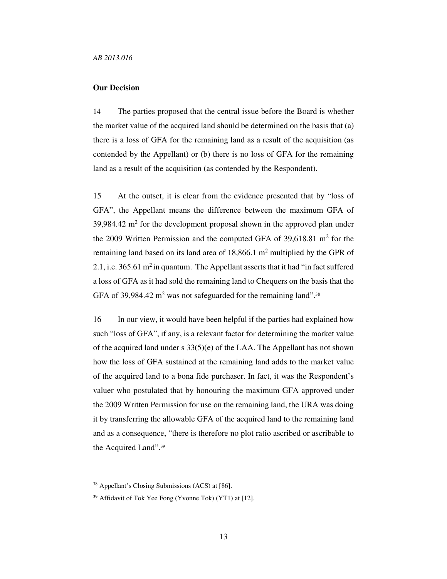# **Our Decision**

14 The parties proposed that the central issue before the Board is whether the market value of the acquired land should be determined on the basis that (a) there is a loss of GFA for the remaining land as a result of the acquisition (as contended by the Appellant) or (b) there is no loss of GFA for the remaining land as a result of the acquisition (as contended by the Respondent).

15 At the outset, it is clear from the evidence presented that by "loss of GFA", the Appellant means the difference between the maximum GFA of  $39,984.42$  m<sup>2</sup> for the development proposal shown in the approved plan under the 2009 Written Permission and the computed GFA of  $39,618.81$  m<sup>2</sup> for the remaining land based on its land area of  $18,866.1 \text{ m}^2$  multiplied by the GPR of 2.1, i.e.  $365.61 \text{ m}^2$  in quantum. The Appellant asserts that it had "in fact suffered a loss of GFA as it had sold the remaining land to Chequers on the basis that the GFA of 39,984.42  $m^2$  was not safeguarded for the remaining land".<sup>38</sup>

16 In our view, it would have been helpful if the parties had explained how such "loss of GFA", if any, is a relevant factor for determining the market value of the acquired land under s 33(5)(e) of the LAA. The Appellant has not shown how the loss of GFA sustained at the remaining land adds to the market value of the acquired land to a bona fide purchaser. In fact, it was the Respondent's valuer who postulated that by honouring the maximum GFA approved under the 2009 Written Permission for use on the remaining land, the URA was doing it by transferring the allowable GFA of the acquired land to the remaining land and as a consequence, "there is therefore no plot ratio ascribed or ascribable to the Acquired Land".<sup>39</sup>

<sup>38</sup> Appellant's Closing Submissions (ACS) at [86].

<sup>39</sup> Affidavit of Tok Yee Fong (Yvonne Tok) (YT1) at [12].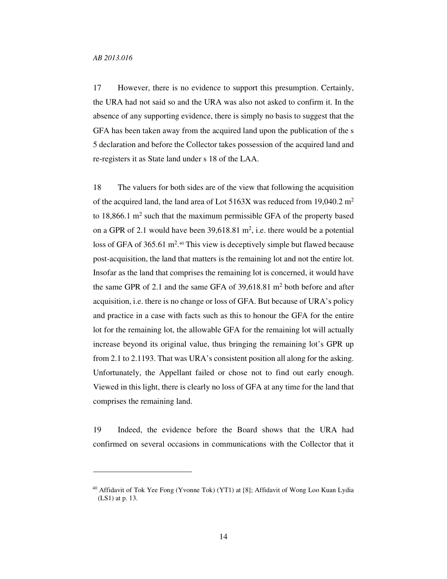$\overline{a}$ 

17 However, there is no evidence to support this presumption. Certainly, the URA had not said so and the URA was also not asked to confirm it. In the absence of any supporting evidence, there is simply no basis to suggest that the GFA has been taken away from the acquired land upon the publication of the s 5 declaration and before the Collector takes possession of the acquired land and re-registers it as State land under s 18 of the LAA.

18 The valuers for both sides are of the view that following the acquisition of the acquired land, the land area of Lot  $5163X$  was reduced from 19,040.2 m<sup>2</sup> to  $18,866.1$  m<sup>2</sup> such that the maximum permissible GFA of the property based on a GPR of 2.1 would have been  $39{,}618.81 \text{ m}^2$ , i.e. there would be a potential loss of GFA of 365.61 m<sup>2</sup>.<sup>40</sup> This view is deceptively simple but flawed because post-acquisition, the land that matters is the remaining lot and not the entire lot. Insofar as the land that comprises the remaining lot is concerned, it would have the same GPR of 2.1 and the same GFA of  $39,618.81$  m<sup>2</sup> both before and after acquisition, i.e. there is no change or loss of GFA. But because of URA's policy and practice in a case with facts such as this to honour the GFA for the entire lot for the remaining lot, the allowable GFA for the remaining lot will actually increase beyond its original value, thus bringing the remaining lot's GPR up from 2.1 to 2.1193. That was URA's consistent position all along for the asking. Unfortunately, the Appellant failed or chose not to find out early enough. Viewed in this light, there is clearly no loss of GFA at any time for the land that comprises the remaining land.

19 Indeed, the evidence before the Board shows that the URA had confirmed on several occasions in communications with the Collector that it

<sup>&</sup>lt;sup>40</sup> Affidavit of Tok Yee Fong (Yvonne Tok) (YT1) at [8]; Affidavit of Wong Loo Kuan Lydia (LS1) at p. 13.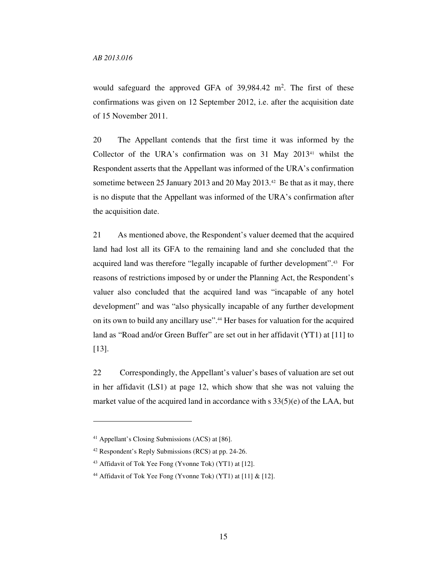would safeguard the approved GFA of  $39,984.42$  m<sup>2</sup>. The first of these confirmations was given on 12 September 2012, i.e. after the acquisition date of 15 November 2011.

20 The Appellant contends that the first time it was informed by the Collector of the URA's confirmation was on  $31$  May  $2013^{41}$  whilst the Respondent asserts that the Appellant was informed of the URA's confirmation sometime between 25 January 2013 and 20 May 2013.42 Be that as it may, there is no dispute that the Appellant was informed of the URA's confirmation after the acquisition date.

21 As mentioned above, the Respondent's valuer deemed that the acquired land had lost all its GFA to the remaining land and she concluded that the acquired land was therefore "legally incapable of further development".43 For reasons of restrictions imposed by or under the Planning Act, the Respondent's valuer also concluded that the acquired land was "incapable of any hotel development" and was "also physically incapable of any further development on its own to build any ancillary use".44 Her bases for valuation for the acquired land as "Road and/or Green Buffer" are set out in her affidavit (YT1) at [11] to [13].

22 Correspondingly, the Appellant's valuer's bases of valuation are set out in her affidavit (LS1) at page 12, which show that she was not valuing the market value of the acquired land in accordance with s 33(5)(e) of the LAA, but

<sup>41</sup> Appellant's Closing Submissions (ACS) at [86].

<sup>42</sup> Respondent's Reply Submissions (RCS) at pp. 24-26.

<sup>43</sup> Affidavit of Tok Yee Fong (Yvonne Tok) (YT1) at [12].

<sup>44</sup> Affidavit of Tok Yee Fong (Yvonne Tok) (YT1) at [11] & [12].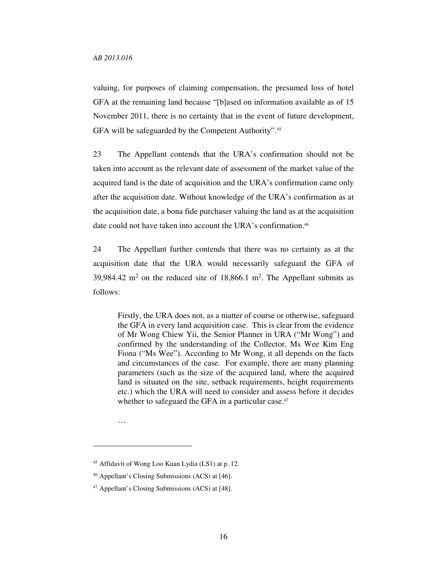valuing, for purposes of claiming compensation, the presumed loss of hotel GFA at the remaining land because "[b]ased on information available as of 15 November 2011, there is no certainty that in the event of future development, GFA will be safeguarded by the Competent Authority".<sup>45</sup>

23 The Appellant contends that the URA's confirmation should not be taken into account as the relevant date of assessment of the market value of the acquired land is the date of acquisition and the URA's confirmation came only after the acquisition date. Without knowledge of the URA's confirmation as at the acquisition date, a bona fide purchaser valuing the land as at the acquisition date could not have taken into account the URA's confirmation.<sup>46</sup>

24 The Appellant further contends that there was no certainty as at the acquisition date that the URA would necessarily safeguard the GFA of 39,984.42 m<sup>2</sup> on the reduced site of 18,866.1 m<sup>2</sup>. The Appellant submits as follows:

Firstly, the URA does not, as a matter of course or otherwise, safeguard the GFA in every land acquisition case. This is clear from the evidence of Mr Wong Chiew Yii, the Senior Planner in URA ("Mr Wong") and confirmed by the understanding of the Collector, Ms Wee Kim Eng Fiona ("Ms Wee"). According to Mr Wong, it all depends on the facts and circumstances of the case. For example, there are many planning parameters (such as the size of the acquired land, where the acquired land is situated on the site, setback requirements, height requirements etc.) which the URA will need to consider and assess before it decides whether to safeguard the GFA in a particular case.<sup>47</sup>

…

<sup>45</sup> Affidavit of Wong Loo Kuan Lydia (LS1) at p. 12.

<sup>46</sup> Appellant's Closing Submissions (ACS) at [46].

<sup>47</sup> Appellant's Closing Submissions (ACS) at [48].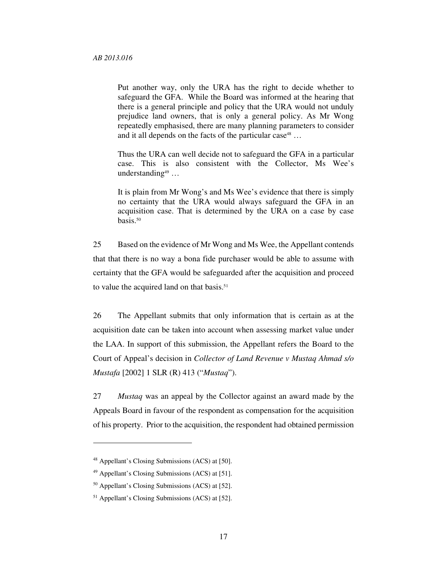Put another way, only the URA has the right to decide whether to safeguard the GFA. While the Board was informed at the hearing that there is a general principle and policy that the URA would not unduly prejudice land owners, that is only a general policy. As Mr Wong repeatedly emphasised, there are many planning parameters to consider and it all depends on the facts of the particular case<sup>48</sup> ...

Thus the URA can well decide not to safeguard the GFA in a particular case. This is also consistent with the Collector, Ms Wee's understanding<sup>49</sup> ...

It is plain from Mr Wong's and Ms Wee's evidence that there is simply no certainty that the URA would always safeguard the GFA in an acquisition case. That is determined by the URA on a case by case basis.<sup>50</sup>

25 Based on the evidence of Mr Wong and Ms Wee, the Appellant contends that that there is no way a bona fide purchaser would be able to assume with certainty that the GFA would be safeguarded after the acquisition and proceed to value the acquired land on that basis.<sup>51</sup>

26 The Appellant submits that only information that is certain as at the acquisition date can be taken into account when assessing market value under the LAA. In support of this submission, the Appellant refers the Board to the Court of Appeal's decision in *Collector of Land Revenue v Mustaq Ahmad s/o Mustafa* [2002] 1 SLR (R) 413 ("*Mustaq*").

27 *Mustaq* was an appeal by the Collector against an award made by the Appeals Board in favour of the respondent as compensation for the acquisition of his property. Prior to the acquisition, the respondent had obtained permission

<sup>48</sup> Appellant's Closing Submissions (ACS) at [50].

<sup>49</sup> Appellant's Closing Submissions (ACS) at [51].

<sup>50</sup> Appellant's Closing Submissions (ACS) at [52].

<sup>51</sup> Appellant's Closing Submissions (ACS) at [52].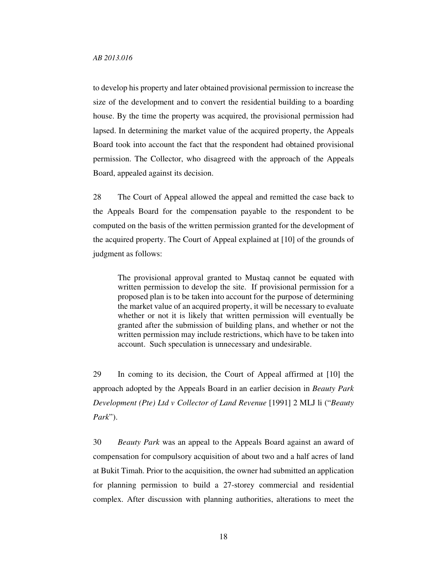to develop his property and later obtained provisional permission to increase the size of the development and to convert the residential building to a boarding house. By the time the property was acquired, the provisional permission had lapsed. In determining the market value of the acquired property, the Appeals Board took into account the fact that the respondent had obtained provisional permission. The Collector, who disagreed with the approach of the Appeals Board, appealed against its decision.

28 The Court of Appeal allowed the appeal and remitted the case back to the Appeals Board for the compensation payable to the respondent to be computed on the basis of the written permission granted for the development of the acquired property. The Court of Appeal explained at [10] of the grounds of judgment as follows:

The provisional approval granted to Mustaq cannot be equated with written permission to develop the site. If provisional permission for a proposed plan is to be taken into account for the purpose of determining the market value of an acquired property, it will be necessary to evaluate whether or not it is likely that written permission will eventually be granted after the submission of building plans, and whether or not the written permission may include restrictions, which have to be taken into account. Such speculation is unnecessary and undesirable.

29 In coming to its decision, the Court of Appeal affirmed at [10] the approach adopted by the Appeals Board in an earlier decision in *Beauty Park Development (Pte) Ltd v Collector of Land Revenue* [1991] 2 MLJ li ("*Beauty Park*").

30 *Beauty Park* was an appeal to the Appeals Board against an award of compensation for compulsory acquisition of about two and a half acres of land at Bukit Timah. Prior to the acquisition, the owner had submitted an application for planning permission to build a 27-storey commercial and residential complex. After discussion with planning authorities, alterations to meet the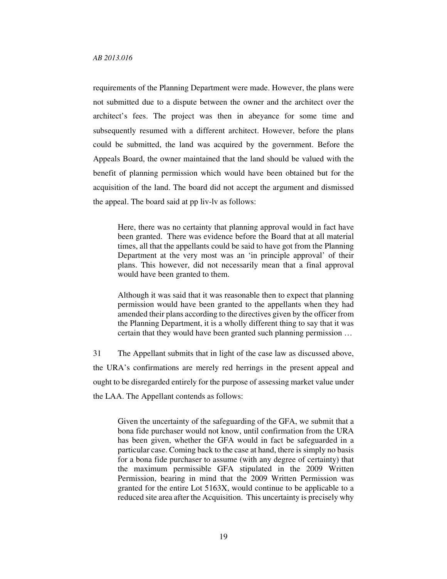requirements of the Planning Department were made. However, the plans were not submitted due to a dispute between the owner and the architect over the architect's fees. The project was then in abeyance for some time and subsequently resumed with a different architect. However, before the plans could be submitted, the land was acquired by the government. Before the Appeals Board, the owner maintained that the land should be valued with the benefit of planning permission which would have been obtained but for the acquisition of the land. The board did not accept the argument and dismissed the appeal. The board said at pp liv-lv as follows:

Here, there was no certainty that planning approval would in fact have been granted. There was evidence before the Board that at all material times, all that the appellants could be said to have got from the Planning Department at the very most was an 'in principle approval' of their plans. This however, did not necessarily mean that a final approval would have been granted to them.

Although it was said that it was reasonable then to expect that planning permission would have been granted to the appellants when they had amended their plans according to the directives given by the officer from the Planning Department, it is a wholly different thing to say that it was certain that they would have been granted such planning permission …

31 The Appellant submits that in light of the case law as discussed above, the URA's confirmations are merely red herrings in the present appeal and ought to be disregarded entirely for the purpose of assessing market value under the LAA. The Appellant contends as follows:

Given the uncertainty of the safeguarding of the GFA, we submit that a bona fide purchaser would not know, until confirmation from the URA has been given, whether the GFA would in fact be safeguarded in a particular case. Coming back to the case at hand, there is simply no basis for a bona fide purchaser to assume (with any degree of certainty) that the maximum permissible GFA stipulated in the 2009 Written Permission, bearing in mind that the 2009 Written Permission was granted for the entire Lot 5163X, would continue to be applicable to a reduced site area after the Acquisition. This uncertainty is precisely why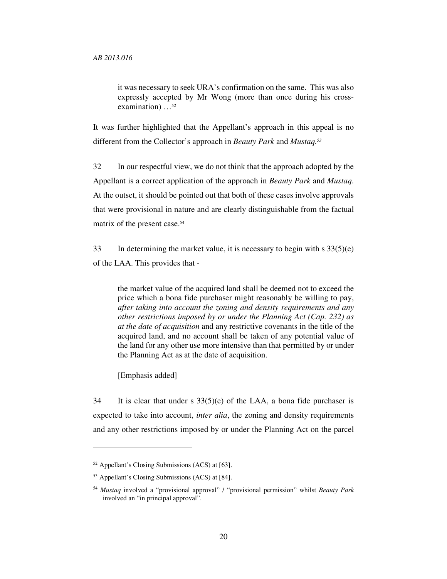it was necessary to seek URA's confirmation on the same. This was also expressly accepted by Mr Wong (more than once during his crossexamination) …<sup>52</sup>

It was further highlighted that the Appellant's approach in this appeal is no different from the Collector's approach in *Beauty Park* and *Mustaq.<sup>53</sup>*

32 In our respectful view, we do not think that the approach adopted by the Appellant is a correct application of the approach in *Beauty Park* and *Mustaq*. At the outset, it should be pointed out that both of these cases involve approvals that were provisional in nature and are clearly distinguishable from the factual matrix of the present case.<sup>54</sup>

33 In determining the market value, it is necessary to begin with s 33(5)(e) of the LAA. This provides that -

the market value of the acquired land shall be deemed not to exceed the price which a bona fide purchaser might reasonably be willing to pay, *after taking into account the zoning and density requirements and any other restrictions imposed by or under the Planning Act (Cap. 232) as at the date of acquisition* and any restrictive covenants in the title of the acquired land, and no account shall be taken of any potential value of the land for any other use more intensive than that permitted by or under the Planning Act as at the date of acquisition.

[Emphasis added]

 $\ddot{\phantom{a}}$ 

34 It is clear that under s  $33(5)(e)$  of the LAA, a bona fide purchaser is expected to take into account, *inter alia*, the zoning and density requirements and any other restrictions imposed by or under the Planning Act on the parcel

<sup>52</sup> Appellant's Closing Submissions (ACS) at [63].

<sup>53</sup> Appellant's Closing Submissions (ACS) at [84].

<sup>54</sup> *Mustaq* involved a "provisional approval" / "provisional permission" whilst *Beauty Park* involved an "in principal approval".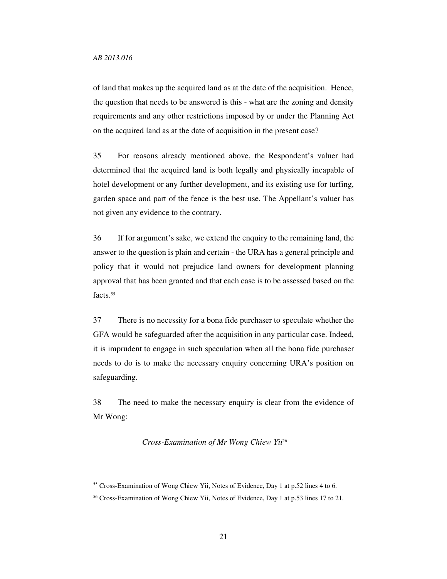$\overline{a}$ 

of land that makes up the acquired land as at the date of the acquisition. Hence, the question that needs to be answered is this - what are the zoning and density requirements and any other restrictions imposed by or under the Planning Act on the acquired land as at the date of acquisition in the present case?

35 For reasons already mentioned above, the Respondent's valuer had determined that the acquired land is both legally and physically incapable of hotel development or any further development, and its existing use for turfing, garden space and part of the fence is the best use. The Appellant's valuer has not given any evidence to the contrary.

36 If for argument's sake, we extend the enquiry to the remaining land, the answer to the question is plain and certain - the URA has a general principle and policy that it would not prejudice land owners for development planning approval that has been granted and that each case is to be assessed based on the facts.<sup>55</sup>

37 There is no necessity for a bona fide purchaser to speculate whether the GFA would be safeguarded after the acquisition in any particular case. Indeed, it is imprudent to engage in such speculation when all the bona fide purchaser needs to do is to make the necessary enquiry concerning URA's position on safeguarding.

38 The need to make the necessary enquiry is clear from the evidence of Mr Wong:

*Cross-Examination of Mr Wong Chiew Yii<sup>56</sup>*

<sup>55</sup> Cross-Examination of Wong Chiew Yii, Notes of Evidence, Day 1 at p.52 lines 4 to 6.

<sup>56</sup> Cross-Examination of Wong Chiew Yii, Notes of Evidence, Day 1 at p.53 lines 17 to 21.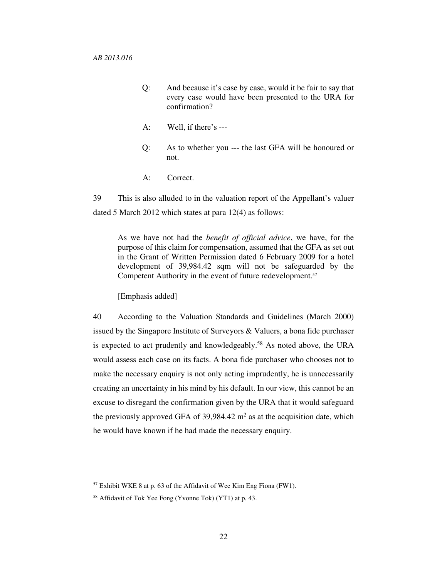- Q: And because it's case by case, would it be fair to say that every case would have been presented to the URA for confirmation?
- A: Well, if there's ---
- Q: As to whether you --- the last GFA will be honoured or not.
- A: Correct.

39 This is also alluded to in the valuation report of the Appellant's valuer dated 5 March 2012 which states at para 12(4) as follows:

As we have not had the *benefit of official advice*, we have, for the purpose of this claim for compensation, assumed that the GFA as set out in the Grant of Written Permission dated 6 February 2009 for a hotel development of 39,984.42 sqm will not be safeguarded by the Competent Authority in the event of future redevelopment.<sup>57</sup>

[Emphasis added]

40 According to the Valuation Standards and Guidelines (March 2000) issued by the Singapore Institute of Surveyors & Valuers, a bona fide purchaser is expected to act prudently and knowledgeably.<sup>58</sup> As noted above, the URA would assess each case on its facts. A bona fide purchaser who chooses not to make the necessary enquiry is not only acting imprudently, he is unnecessarily creating an uncertainty in his mind by his default. In our view, this cannot be an excuse to disregard the confirmation given by the URA that it would safeguard the previously approved GFA of  $39,984.42 \text{ m}^2$  as at the acquisition date, which he would have known if he had made the necessary enquiry.

<sup>57</sup> Exhibit WKE 8 at p. 63 of the Affidavit of Wee Kim Eng Fiona (FW1).

<sup>58</sup> Affidavit of Tok Yee Fong (Yvonne Tok) (YT1) at p. 43.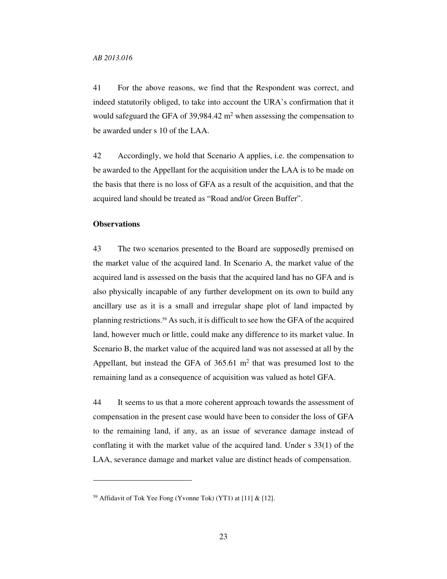41 For the above reasons, we find that the Respondent was correct, and indeed statutorily obliged, to take into account the URA's confirmation that it would safeguard the GFA of 39,984.42  $m<sup>2</sup>$  when assessing the compensation to be awarded under s 10 of the LAA.

42 Accordingly, we hold that Scenario A applies, i.e. the compensation to be awarded to the Appellant for the acquisition under the LAA is to be made on the basis that there is no loss of GFA as a result of the acquisition, and that the acquired land should be treated as "Road and/or Green Buffer".

### **Observations**

 $\overline{a}$ 

43 The two scenarios presented to the Board are supposedly premised on the market value of the acquired land. In Scenario A, the market value of the acquired land is assessed on the basis that the acquired land has no GFA and is also physically incapable of any further development on its own to build any ancillary use as it is a small and irregular shape plot of land impacted by planning restrictions.59 As such, it is difficult to see how the GFA of the acquired land, however much or little, could make any difference to its market value. In Scenario B, the market value of the acquired land was not assessed at all by the Appellant, but instead the GFA of  $365.61 \text{ m}^2$  that was presumed lost to the remaining land as a consequence of acquisition was valued as hotel GFA.

44 It seems to us that a more coherent approach towards the assessment of compensation in the present case would have been to consider the loss of GFA to the remaining land, if any, as an issue of severance damage instead of conflating it with the market value of the acquired land. Under s 33(1) of the LAA, severance damage and market value are distinct heads of compensation.

<sup>59</sup> Affidavit of Tok Yee Fong (Yvonne Tok) (YT1) at [11] & [12].